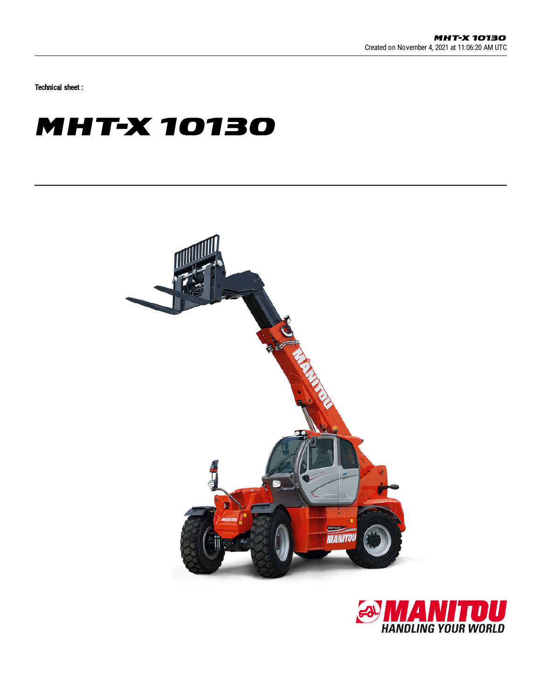Technical sheet :

## **MHT-X 10130**



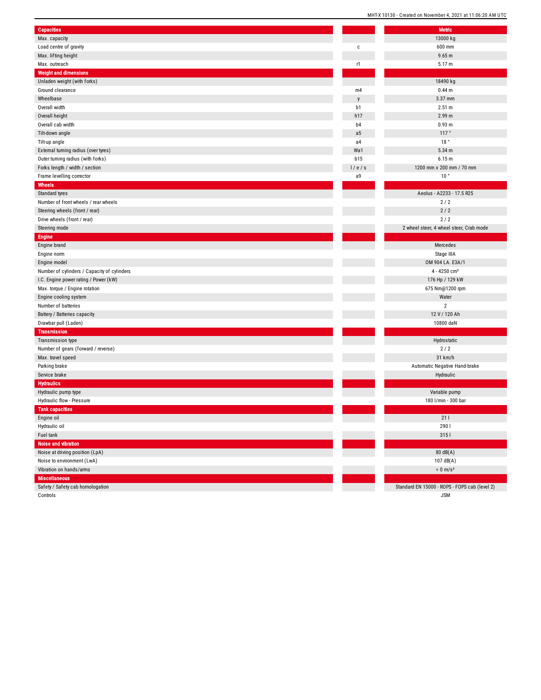| Capacities                                                  |                | <b>Metric</b>                                 |
|-------------------------------------------------------------|----------------|-----------------------------------------------|
| Max. capacity                                               |                | 13000 kg                                      |
| Load centre of gravity                                      | $\mathbf c$    | 600 mm                                        |
| Max. lifting height                                         |                | 9.65 m                                        |
| Max. outreach                                               | r1             | 5.17 m                                        |
| <b>Weight and dimensions</b>                                |                |                                               |
| Unladen weight (with forks)                                 |                | 18490 kg                                      |
| Ground clearance                                            | m4             | 0.44 <sub>m</sub>                             |
| Wheelbase                                                   | y              | 3.37 mm                                       |
| Overall width                                               | b1             | 2.51 m                                        |
| Overall height                                              | h17            | 2.99 m                                        |
| Overall cab width                                           | b <sub>4</sub> | 0.93 <sub>m</sub>                             |
| Tilt-down angle                                             | a <sub>5</sub> | 117°                                          |
| Tilt-up angle                                               | a4             | 18°                                           |
| External turning radius (over tyres)                        | Wa1            | 5.34 m                                        |
| Outer turning radius (with forks)                           | b15            | 6.15 m                                        |
| Forks length / width / section                              | 1/e/s          | 1200 mm x 200 mm / 70 mm                      |
| Frame levelling corrector                                   | a9             | 10 <sup>°</sup>                               |
| <b>Wheels</b>                                               |                |                                               |
| Standard tyres                                              |                | Aeolus - A2233 - 17.5 R25                     |
| Number of front wheels / rear wheels                        |                | 2/2                                           |
| Steering wheels (front / rear)                              |                | 2/2                                           |
| Drive wheels (front / rear)                                 |                | 2/2                                           |
| Steering mode                                               |                | 2 wheel steer, 4 wheel steer, Crab mode       |
| <b>Engine</b>                                               |                |                                               |
| Engine brand                                                |                | Mercedes                                      |
| Engine norm                                                 |                | Stage IIIA                                    |
|                                                             |                |                                               |
|                                                             |                | OM 904 LA. E3A/1                              |
| Engine model<br>Number of cylinders / Capacity of cylinders |                | 4 - 4250 cm <sup>3</sup>                      |
|                                                             |                |                                               |
| I.C. Engine power rating / Power (kW)                       |                | 176 Hp / 129 kW                               |
| Max. torque / Engine rotation                               |                | 675 Nm@1200 rpm                               |
| Engine cooling system<br>Number of batteries                |                | Water<br>$\overline{2}$                       |
|                                                             |                |                                               |
| Battery / Batteries capacity                                |                | 12 V / 120 Ah                                 |
| Drawbar pull (Laden)                                        |                | 10800 daN                                     |
| <b>Transmission</b>                                         |                |                                               |
| Transmission type                                           |                | Hydrostatic                                   |
| Number of gears (forward / reverse)                         |                | 2/2                                           |
| Max. travel speed                                           |                | 31 km/h                                       |
| Parking brake                                               |                | Automatic Negative Hand-brake                 |
| Service brake                                               |                | Hydraulic                                     |
| <b>Hydraulics</b>                                           |                |                                               |
| Hydraulic pump type                                         |                | Variable pump                                 |
| Hydraulic flow - Pressure                                   |                | 180 l/min - 300 bar                           |
| <b>Tank capacities</b>                                      |                |                                               |
| Engine oil                                                  |                | 21 L                                          |
| Hydraulic oil                                               |                | 290 l                                         |
| Fuel tank                                                   |                | 315 l                                         |
| Noise and vibration                                         |                |                                               |
| Noise at driving position (LpA)                             |                | 80dB(A)                                       |
| Noise to environment (LwA)                                  |                | 107 dB(A)                                     |
| Vibration on hands/arms                                     |                | $< 0$ m/s <sup>2</sup>                        |
| <b>Miscellaneous</b><br>Safety / Safety cab homologation    |                | Standard EN 15000 - ROPS - FOPS cab (level 2) |

J S M

Controls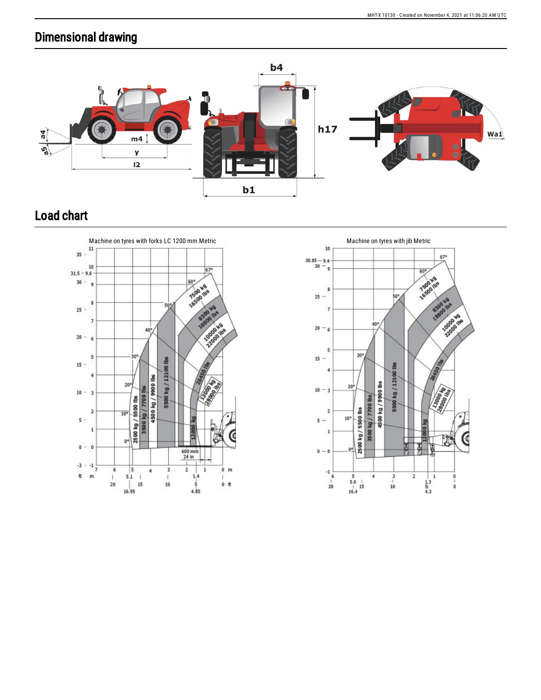## Dimensional drawing



## Load chart



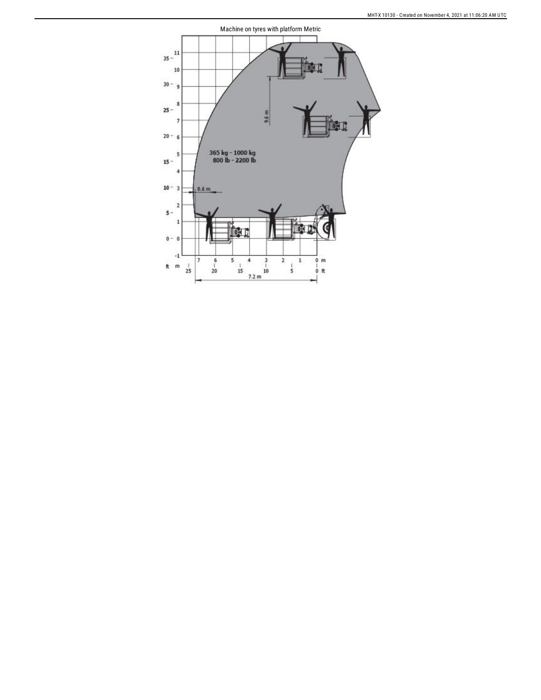